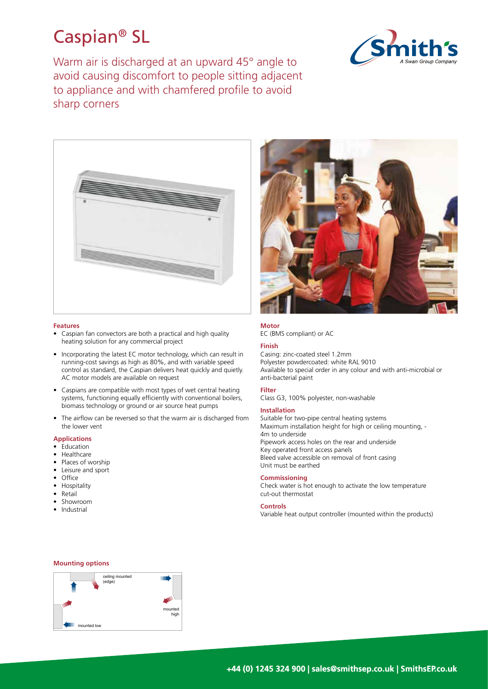# Caspian® SL

Warm air is discharged at an upward 45° angle to avoid causing discomfort to people sitting adjacent to appliance and with chamfered profile to avoid sharp corners





### **Features**

- Caspian fan convectors are both a practical and high quality heating solution for any commercial project
- Incorporating the latest EC motor technology, which can result in running-cost savings as high as 80%, and with variable speed control as standard, the Caspian delivers heat quickly and quietly. AC motor models are available on request
- Caspians are compatible with most types of wet central heating systems, functioning equally efficiently with conventional boilers, biomass technology or ground or air source heat pumps
- The airflow can be reversed so that the warm air is discharged from the lower vent

# **Applications**

- Education
- Healthcare
- Places of worship
- Leisure and sport • Office
- Hospitality
- Retail
- Showroom
- Industrial



# **Motor**

EC (BMS compliant) or AC

### **Finish**

Casing: zinc-coated steel 1.2mm Polyester powdercoated: white RAL 9010 Available to special order in any colour and with anti-microbial or anti-bacterial paint

# **Filter**

Class G3, 100% polyester, non-washable

### **Installation**

Suitable for two-pipe central heating systems Maximum installation height for high or ceiling mounting, - 4m to underside Pipework access holes on the rear and underside Key operated front access panels Bleed valve accessible on removal of front casing Unit must be earthed

# **Commissioning**

Check water is hot enough to activate the low temperature cut-out thermostat

### **Controls**

Variable heat output controller (mounted within the products)

## **Mounting options**

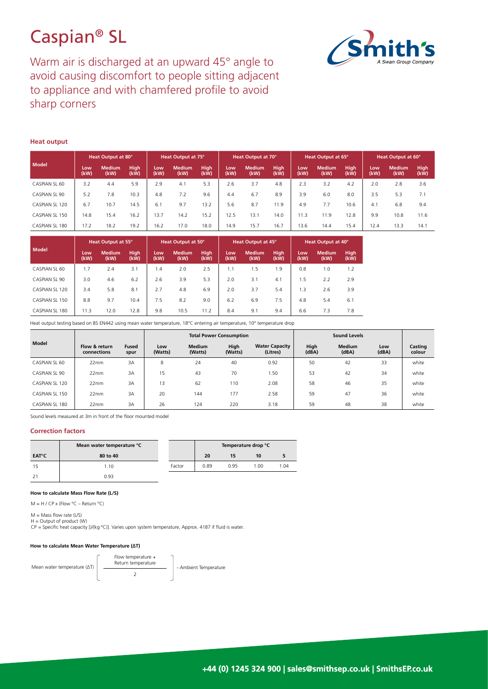# Caspian® SL



Warm air is discharged at an upward 45° angle to avoid causing discomfort to people sitting adjacent to appliance and with chamfered profile to avoid sharp corners

# **Heat output**

| Model          | Heat Output at 80° |                       |                     | Heat Output at 75° |                       | Heat Output at 70° |             |                       | Heat Output at 65°  |             |                       | Heat Output at 60°  |             |                       |              |
|----------------|--------------------|-----------------------|---------------------|--------------------|-----------------------|--------------------|-------------|-----------------------|---------------------|-------------|-----------------------|---------------------|-------------|-----------------------|--------------|
|                | Low<br>(kW)        | <b>Medium</b><br>(kW) | <b>High</b><br>(kW) | Low<br>(kW)        | <b>Medium</b><br>(kW) | High<br>(kW)       | Low<br>(kW) | <b>Medium</b><br>(kW) | <b>High</b><br>(kW) | Low<br>(kW) | <b>Medium</b><br>(kW) | <b>High</b><br>(kW) | Low<br>(kW) | <b>Medium</b><br>(kW) | High<br>(kW) |
| CASPIAN SL 60  | 3.2                | 4.4                   | 5.9                 | 2.9                | 4.1                   | 5.3                | 2.6         | 3.7                   | 4.8                 | 2.3         | 3.2                   | 4.2                 | 2.0         | 2.8                   | 3.6          |
| CASPIAN SL 90  | 5.2                | 7.8                   | 10.3                | 4.8                | 7.2                   | 9.6                | 4.4         | 6.7                   | 8.9                 | 3.9         | 6.0                   | 8.0                 | 3.5         | 5.3                   | 7.1          |
| CASPIAN SL 120 | 6.7                | 10.7                  | 14.5                | 6.1                | 9.7                   | 13.2               | 5.6         | 8.7                   | 11.9                | 4.9         | 7.7                   | 10.6                | 4.1         | 6.8                   | 9.4          |
| CASPIAN SL 150 | 14.8               | 15.4                  | 16.2                | 13.7               | 14.2                  | 15.2               | 12.5        | 13.1                  | 14.0                | 11.3        | 11.9                  | 12.8                | 9.9         | 10.8                  | 11.6         |
| CASPIAN SL 180 | 17.2               | 18.2                  | 19.2                | 16.2               | 17.0                  | 18.0               | 14.9        | 15.7                  | 16.7                | 13.6        | 14.4                  | 15.4                | 12.4        | 13.3                  | 14.1         |

|                | Heat Output at 55° |                       |                     | Heat Output at 50° |                       |                     | Heat Output at 45° |                       |                     | <b>Heat Output at 40°</b> |                       |              |
|----------------|--------------------|-----------------------|---------------------|--------------------|-----------------------|---------------------|--------------------|-----------------------|---------------------|---------------------------|-----------------------|--------------|
| Model          | Low<br>(kW)        | <b>Medium</b><br>(kW) | <b>High</b><br>(kW) | Low<br>(kW)        | <b>Medium</b><br>(kW) | <b>High</b><br>(kW) | Low<br>(kW)        | <b>Medium</b><br>(kW) | <b>High</b><br>(kW) | Low<br>(kW)               | <b>Medium</b><br>(kW) | High<br>(kW) |
| CASPIAN SL 60  | 1.7                | 2.4                   | 3.1                 | 1.4                | 2.0                   | 2.5                 | 1.1                | 1.5                   | 1.9                 | 0.8                       | 1.0                   | 1.2          |
| CASPIAN SL 90  | 3.0                | 4.6                   | 6.2                 | 2.6                | 3.9                   | 5.3                 | 2.0                | 3.1                   | 4.1                 | 1.5                       | 2.2                   | 2.9          |
| CASPIAN SL 120 | 3.4                | 5.8                   | 8.1                 | 2.7                | 4.8                   | 6.9                 | 2.0                | 3.7                   | 5.4                 | 1.3                       | 2.6                   | 3.9          |
| CASPIAN SL 150 | 8.8                | 9.7                   | 10.4                | 7.5                | 8.2                   | 9.0                 | 6.2                | 6.9                   | 7.5                 | 4.8                       | 5.4                   | 6.1          |
| CASPIAN SL 180 | 11.3               | 12.0                  | 12.8                | 9.8                | 10.5                  | 11.2                | 8.4                | 9.1                   | 9.4                 | 6.6                       | 7.3                   | 7.8          |

Heat output testing based on BS EN442 using mean water temperature, 18°C entering air temperature, 10° temperature drop

|                |                              |                      |                |                          | <b>Total Power Consumption</b> |                                   |               |                        |              |                   |
|----------------|------------------------------|----------------------|----------------|--------------------------|--------------------------------|-----------------------------------|---------------|------------------------|--------------|-------------------|
| <b>Model</b>   | Flow & return<br>connections | <b>Fused</b><br>spur | Low<br>(Watts) | <b>Medium</b><br>(Watts) | High<br>(Watts)                | <b>Water Capacity</b><br>(Litres) | High<br>(dBA) | <b>Medium</b><br>(dBA) | Low<br>(dBA) | Casting<br>colour |
| CASPIAN SL 60  | 22mm                         | 3A                   | 8              | 24                       | 40                             | 0.92                              | 50            | 42                     | 33           | white             |
| CASPIAN SL 90  | 22mm                         | 3A                   | 15             | 43                       | 70                             | 1.50                              | 53            | 42                     | 34           | white             |
| CASPIAN SL 120 | 22mm                         | 3A                   | 13             | 62                       | 110                            | 2.08                              | 58            | 46                     | 35           | white             |
| CASPIAN SL 150 | 22mm                         | 3A                   | 20             | 144                      | 177                            | 2.58                              | 59            | 47                     | 36           | white             |
| CASPIAN SL 180 | 22mm                         | 3A                   | 26             | 124                      | 220                            | 3.18                              | 59            | 48                     | 38           | white             |

Sound levels measured at 3m in front of the floor mounted model

### **Correction factors**

|                         | Mean water temperature °C |        | Temperature drop °C |      |      |      |  |
|-------------------------|---------------------------|--------|---------------------|------|------|------|--|
| <b>EAT<sup>°</sup>C</b> | 80 to 40                  |        | 20                  | 15   | 10   |      |  |
|                         | 1.10                      | Factor | 0.89                | 0.95 | 1.00 | 1.04 |  |
|                         | 0.93                      |        |                     |      |      |      |  |

#### **How to calculate Mass Flow Rate (L/S)**

 $M = H / CP \times (Flow °C - Return °C)$ 

 $M =$  Mass flow rate (L/S)

 $H =$  Output of product  $(W)$ 

CP = Specific heat capacity [J/(kg·ºC)]. Varies upon system temperature, Approx. 4187 if fluid is water.

### **How to calculate Mean Water Temperature (∆T)**

Flow temperature + Return temperature 2 Mean water temperature  $(\Delta T)$   $\begin{array}{c|c} \text{Return temperature} & \text{Number of the temperature} \end{array}$  - Ambient Temperature